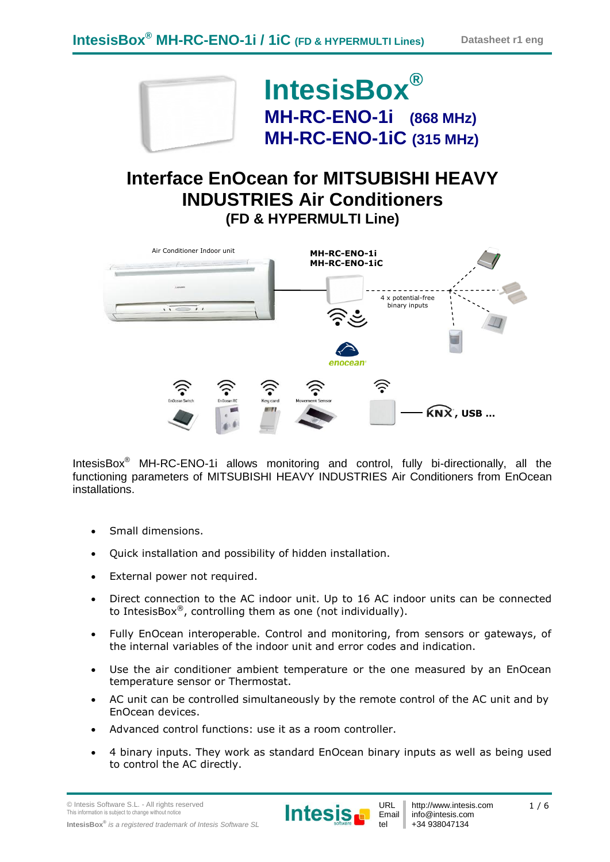

IntesisBox® MH-RC-ENO-1i allows monitoring and control, fully bi-directionally, all the functioning parameters of MITSUBISHI HEAVY INDUSTRIES Air Conditioners from EnOcean installations.

- Small dimensions.
- Quick installation and possibility of hidden installation.
- External power not required.
- Direct connection to the AC indoor unit. Up to 16 AC indoor units can be connected to IntesisBox®, controlling them as one (not individually).
- Fully EnOcean interoperable. Control and monitoring, from sensors or gateways, of the internal variables of the indoor unit and error codes and indication.
- Use the air conditioner ambient temperature or the one measured by an EnOcean temperature sensor or Thermostat.
- AC unit can be controlled simultaneously by the remote control of the AC unit and by EnOcean devices.
- Advanced control functions: use it as a room controller.
- 4 binary inputs. They work as standard EnOcean binary inputs as well as being used to control the AC directly.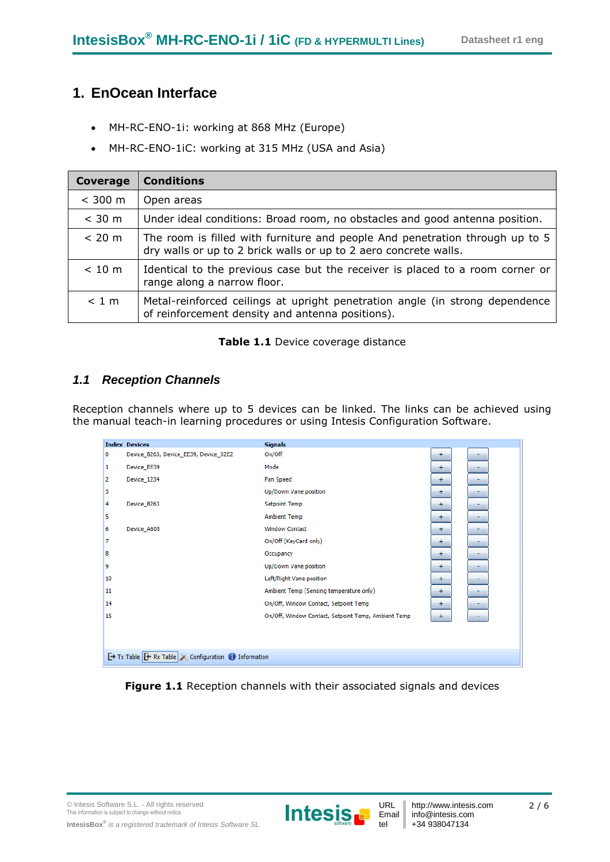### **1. EnOcean Interface**

- MH-RC-ENO-1i: working at 868 MHz (Europe)
- MH-RC-ENO-1iC: working at 315 MHz (USA and Asia)

| Coverage | <b>Conditions</b>                                                                                                                                |
|----------|--------------------------------------------------------------------------------------------------------------------------------------------------|
| < 300 m  | Open areas                                                                                                                                       |
| $<$ 30 m | Under ideal conditions: Broad room, no obstacles and good antenna position.                                                                      |
| < 20 m   | The room is filled with furniture and people And penetration through up to 5<br>dry walls or up to 2 brick walls or up to 2 aero concrete walls. |
| < 10 m   | Identical to the previous case but the receiver is placed to a room corner or<br>range along a narrow floor.                                     |
| < 1 m    | Metal-reinforced ceilings at upright penetration angle (in strong dependence<br>of reinforcement density and antenna positions).                 |

#### **Table 1.1** Device coverage distance

### *1.1 Reception Channels*

Reception channels where up to 5 devices can be linked. The links can be achieved using the manual teach-in learning procedures or using Intesis Configuration Software.

|    | <b>Index Devices</b>                                    | <b>Signals</b>                                      |           |  |
|----|---------------------------------------------------------|-----------------------------------------------------|-----------|--|
| 0  | Device_8263, Device_EE39, Device_02E2                   | On/Off                                              | ÷         |  |
| 1  | Device_EE39                                             | Mode                                                | ÷         |  |
| 2  | Device 1234                                             | <b>Fan Speed</b>                                    | ÷         |  |
| 3  |                                                         | Up/Down Vane position                               | ÷         |  |
| 4  | Device 8263                                             | <b>Setpoint Temp</b>                                | ÷         |  |
| 5  |                                                         | <b>Ambient Temp</b>                                 | $+$       |  |
| 6  | Device A605                                             | <b>Window Contact</b>                               | $+$       |  |
| 7  |                                                         | On/Off (KeyCard only)                               | $+$       |  |
| 8  |                                                         | Occupancy                                           | ÷         |  |
| 9  |                                                         | Up/Down Vane position                               | $\pm$     |  |
| 10 |                                                         | Left/Right Vane position                            | $+$       |  |
| 11 |                                                         | Ambient Temp (Sensing temperature only)             | $+$       |  |
| 14 |                                                         | On/Off, Window Contact, Setpoint Temp               | $+$       |  |
| 15 |                                                         | On/Off, Window Contact, Setpoint Temp, Ambient Temp | $\ddot{}$ |  |
|    |                                                         |                                                     |           |  |
|    |                                                         |                                                     |           |  |
|    | Tx Table <b>E</b> Rx Table Configuration in Information |                                                     |           |  |

Figure 1.1 Reception channels with their associated signals and devices

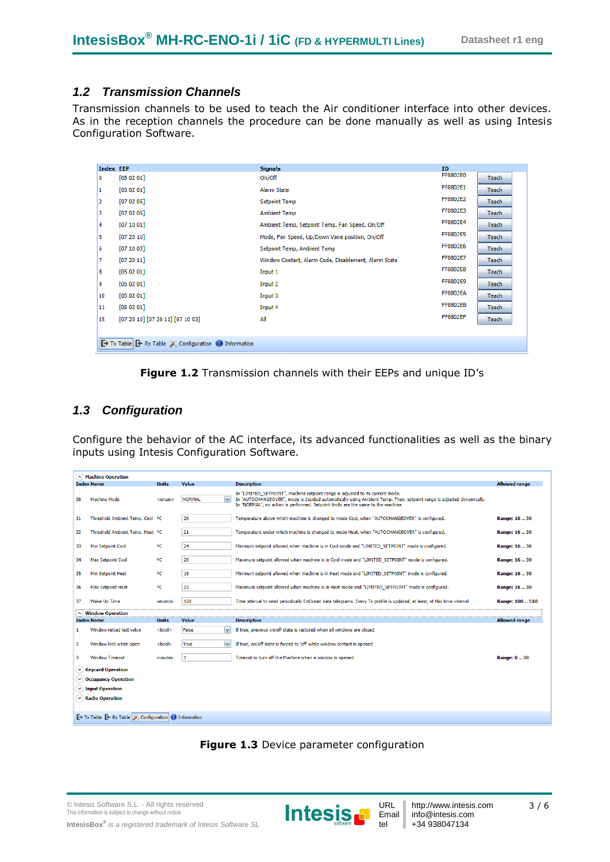#### *1.2 Transmission Channels*

Transmission channels to be used to teach the Air conditioner interface into other devices. As in the reception channels the procedure can be done manually as well as using Intesis Configuration Software.

| <b>Index EEP</b> |                                                      | <b>Signals</b>                                       | <b>ID</b>       |              |
|------------------|------------------------------------------------------|------------------------------------------------------|-----------------|--------------|
| 0                | [05 02 01]                                           | On/Off                                               | FF8802E0        | <b>Teach</b> |
| 1                | [05 02 01]                                           | Alarm State                                          | FF8802E1        | Teach        |
| 2                | [07 02 05]                                           | <b>Setpoint Temp</b>                                 | FF8802E2        | <b>Teach</b> |
| з                | [07 02 05]                                           | <b>Ambient Temp</b>                                  | FF8802E3        | Teach        |
| 4                | [07 10 01]                                           | Ambient Temp, Setpoint Temp, Fan Speed, On/Off       | FF8802E4        | Teach        |
| 5.               | [07 20 10]                                           | Mode, Fan Speed, Up/Down Vane position, On/Off       | FF8802E5        | Teach        |
| 6                | [07 10 03]                                           | Setpoint Temp, Ambient Temp                          | FF8802E6        | Teach        |
| 7                | [07 20 11]                                           | Window Contact, Alarm Code, Disablement, Alarm State | FF8802E7        | Teach        |
| 8                | [05 02 01]                                           | Input 1                                              | FF8802E8        | Teach        |
| 9                | [05 02 01]                                           | Input 2                                              | FF8802E9        | Teach        |
| 10               | [05 02 01]                                           | Input 3                                              | <b>FF8802EA</b> | Teach        |
| 11               | [05 02 01]                                           | Input 4                                              | <b>FF8802EB</b> | Teach        |
| 15               | $[07 20 10]$ $[07 20 11]$ $[07 10 03]$               | All                                                  | <b>FF8802EF</b> | <b>Teach</b> |
|                  |                                                      |                                                      |                 |              |
|                  | Tx Table <b>F</b> Rx Table Configuration information |                                                      |                 |              |
|                  |                                                      |                                                      |                 |              |



### *1.3 Configuration*

Configure the behavior of the AC interface, its advanced functionalities as well as the binary inputs using Intesis Configuration Software.

|              | A) Machine Operation                                                                                |               |                                          |                                                                                                                                                                                                                                                                                             |                      |
|--------------|-----------------------------------------------------------------------------------------------------|---------------|------------------------------------------|---------------------------------------------------------------------------------------------------------------------------------------------------------------------------------------------------------------------------------------------------------------------------------------------|----------------------|
|              | <b>Index Name</b>                                                                                   | <b>Units</b>  | Value                                    | <b>Description</b>                                                                                                                                                                                                                                                                          | <b>Allowed range</b> |
| 30           | <b>Machine Mode</b>                                                                                 | $<$ enum $>$  | $\overline{\mathbf{v}}$<br><b>NORMAL</b> | In "LIMITED SETPOINT", machine setpoint range is adjusted to its current mode.<br>In "AUTOCHANGEOVER", mode is decided automatically using Ambient Temp. Then, setpoint range is adjusted dynamically.<br>In "NORMAL", no action is performed. Setpoint limits are the same to the machine. |                      |
| 31           | Threshold Ambient Temp. Cool OC                                                                     |               | 26                                       | Temperature above which machine is changed to mode Cool, when "AUTOCHANGEOVER" is configured.                                                                                                                                                                                               | Range: 1630          |
| 32           | Threshold Ambient Temp. Heat <sup>o</sup> C                                                         |               | 21                                       | Temperature under which machine is changed to mode Heat, when "AUTOCHANGEOVER" is configured.                                                                                                                                                                                               | Range: 16.30         |
| 33           | Min Setpoint Cool                                                                                   | οc            | 24                                       | Minimum setpoint allowed when machine is in Cool mode and "LIMITED_SETPOINT" mode is configured.                                                                                                                                                                                            | Range: 16  30        |
| 34           | <b>Max Setpoint Cool</b>                                                                            | οc            | 28                                       | Maximum setpoint allowed when machine is in Cool mode and "LIMITED_SETPOINT" mode is configured.                                                                                                                                                                                            | Range: 16  30        |
| 35           | Min Setpoint Heat                                                                                   | °C            | 19                                       | Minimum setpoint allowed when machine is in Heat mode and "LIMITED SETPOINT" mode is configured.                                                                                                                                                                                            | Range: 16.30         |
| 36           | <b>Max Setpoint Heat</b>                                                                            | °C            | 23                                       | Maximum setpoint allowed when machine is in Heat mode and "LIMITED_SETPOINT" mode is configured.                                                                                                                                                                                            | Range: 16  30        |
| 37           | Wake Up Time                                                                                        | seconds       | 120                                      | Time interval to send periodically EnOcean data telegrams. Every Tx profile is updated, at least, at this time interval                                                                                                                                                                     | Range: 100  510      |
|              | $(\wedge)$ Window Operation                                                                         |               |                                          |                                                                                                                                                                                                                                                                                             |                      |
|              | <b>Index Name</b>                                                                                   | Units         | Value                                    | <b>Description</b>                                                                                                                                                                                                                                                                          | <b>Allowed range</b> |
| $\mathbf{1}$ | Window reload last value                                                                            | $<$ bool $>$  | False<br>$\checkmark$                    | If true, previous on/off state is restored when all windows are closed                                                                                                                                                                                                                      |                      |
| $\mathbf{2}$ | Window lock when open                                                                               | <bool></bool> | $\checkmark$<br>True                     | If true, on/off state is forced to 'off' while window contact is opened                                                                                                                                                                                                                     |                      |
| 3            | <b>Window Timeout</b>                                                                               | minutes       | $\mathbf{1}$                             | Timeout to turn off the Machine when a window is opened                                                                                                                                                                                                                                     | Range: 030           |
|              | $(\vee)$ Keycard Operation                                                                          |               |                                          |                                                                                                                                                                                                                                                                                             |                      |
|              | $(\vee)$ Occupancy Operation                                                                        |               |                                          |                                                                                                                                                                                                                                                                                             |                      |
|              | $(\vee)$ Input Operation                                                                            |               |                                          |                                                                                                                                                                                                                                                                                             |                      |
|              | $\vee$ Radio Operation                                                                              |               |                                          |                                                                                                                                                                                                                                                                                             |                      |
|              |                                                                                                     |               |                                          |                                                                                                                                                                                                                                                                                             |                      |
|              | $\rightarrow$ Tx Table $\rightarrow$ Rx Table $\rightarrow$ Configuration $\rightarrow$ Information |               |                                          |                                                                                                                                                                                                                                                                                             |                      |
|              |                                                                                                     |               |                                          |                                                                                                                                                                                                                                                                                             |                      |



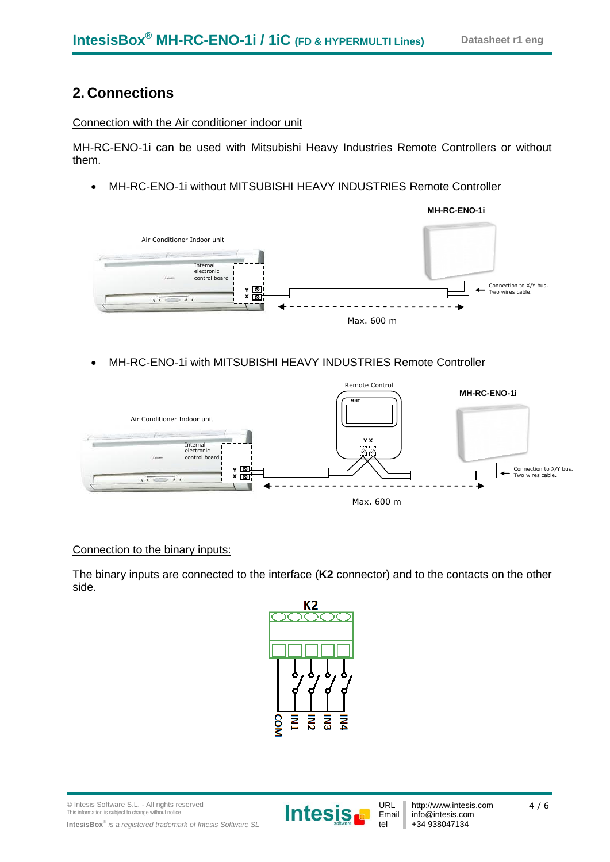## **2. Connections**

### Connection with the Air conditioner indoor unit

MH-RC-ENO-1i can be used with Mitsubishi Heavy Industries Remote Controllers or without them.

MH-RC-ENO-1i without MITSUBISHI HEAVY INDUSTRIES Remote Controller



MH-RC-ENO-1i with MITSUBISHI HEAVY INDUSTRIES Remote Controller



#### Connection to the binary inputs:

The binary inputs are connected to the interface (**K2** connector) and to the contacts on the other side.



© Intesis Software S.L. - All rights reserved This information is subject to change without notice **IntesisBox®** *is a registered trademark of Intesis Software SL*



http://www.intesis.com info@intesis.com +34 938047134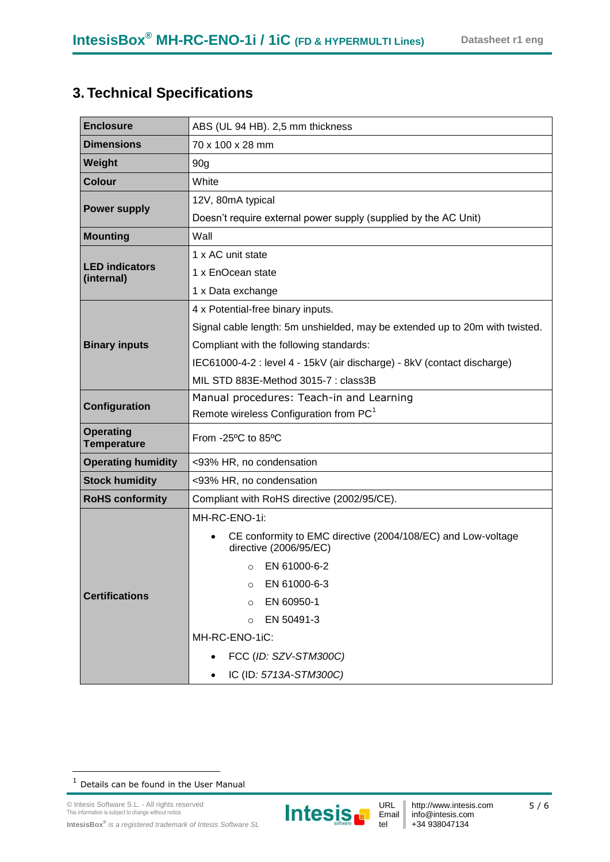# **3. Technical Specifications**

| <b>Enclosure</b>                       | ABS (UL 94 HB). 2,5 mm thickness                                                       |  |  |  |
|----------------------------------------|----------------------------------------------------------------------------------------|--|--|--|
| <b>Dimensions</b>                      | 70 x 100 x 28 mm                                                                       |  |  |  |
| Weight                                 | 90 <sub>g</sub>                                                                        |  |  |  |
| <b>Colour</b>                          | White                                                                                  |  |  |  |
|                                        | 12V, 80mA typical                                                                      |  |  |  |
| <b>Power supply</b>                    | Doesn't require external power supply (supplied by the AC Unit)                        |  |  |  |
| <b>Mounting</b>                        | Wall                                                                                   |  |  |  |
|                                        | 1 x AC unit state                                                                      |  |  |  |
| <b>LED</b> indicators<br>(internal)    | 1 x EnOcean state                                                                      |  |  |  |
|                                        | 1 x Data exchange                                                                      |  |  |  |
|                                        | 4 x Potential-free binary inputs.                                                      |  |  |  |
|                                        | Signal cable length: 5m unshielded, may be extended up to 20m with twisted.            |  |  |  |
| <b>Binary inputs</b>                   | Compliant with the following standards:                                                |  |  |  |
|                                        | IEC61000-4-2 : level 4 - 15kV (air discharge) - 8kV (contact discharge)                |  |  |  |
|                                        | MIL STD 883E-Method 3015-7 : class3B                                                   |  |  |  |
| Configuration                          | Manual procedures: Teach-in and Learning                                               |  |  |  |
|                                        | Remote wireless Configuration from PC <sup>1</sup>                                     |  |  |  |
| <b>Operating</b><br><b>Temperature</b> | From -25°C to 85°C                                                                     |  |  |  |
| <b>Operating humidity</b>              | <93% HR, no condensation                                                               |  |  |  |
| <b>Stock humidity</b>                  | <93% HR, no condensation                                                               |  |  |  |
| <b>RoHS conformity</b>                 | Compliant with RoHS directive (2002/95/CE).                                            |  |  |  |
|                                        | MH-RC-ENO-1i:                                                                          |  |  |  |
|                                        | CE conformity to EMC directive (2004/108/EC) and Low-voltage<br>directive (2006/95/EC) |  |  |  |
|                                        | EN 61000-6-2<br>$\circ$                                                                |  |  |  |
|                                        | EN 61000-6-3<br>$\Omega$                                                               |  |  |  |
| <b>Certifications</b>                  | EN 60950-1<br>$\Omega$                                                                 |  |  |  |
|                                        | EN 50491-3<br>$\Omega$                                                                 |  |  |  |
|                                        | MH-RC-ENO-1iC:                                                                         |  |  |  |
|                                        | FCC (ID: SZV-STM300C)                                                                  |  |  |  |
|                                        | IC (ID: 5713A-STM300C)                                                                 |  |  |  |

1



 $1$  Details can be found in the User Manual